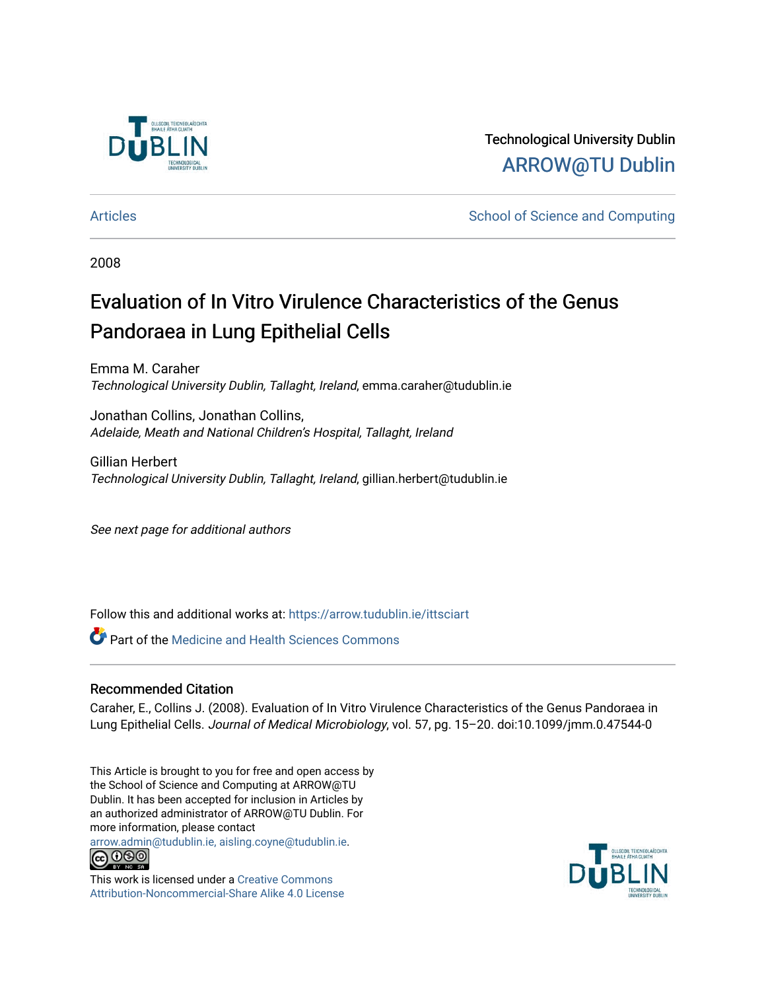

Technological University Dublin [ARROW@TU Dublin](https://arrow.tudublin.ie/) 

[Articles](https://arrow.tudublin.ie/ittsciart) **School of Science and Computing**  $\sim$  School of Science and Computing

2008

# Evaluation of In Vitro Virulence Characteristics of the Genus Pandoraea in Lung Epithelial Cells

Emma M. Caraher Technological University Dublin, Tallaght, Ireland, emma.caraher@tudublin.ie

Jonathan Collins, Jonathan Collins, Adelaide, Meath and National Children's Hospital, Tallaght, Ireland

Gillian Herbert Technological University Dublin, Tallaght, Ireland, gillian.herbert@tudublin.ie

See next page for additional authors

Follow this and additional works at: [https://arrow.tudublin.ie/ittsciart](https://arrow.tudublin.ie/ittsciart?utm_source=arrow.tudublin.ie%2Fittsciart%2F69&utm_medium=PDF&utm_campaign=PDFCoverPages)

**Part of the Medicine and Health Sciences Commons** 

# Recommended Citation

Caraher, E., Collins J. (2008). Evaluation of In Vitro Virulence Characteristics of the Genus Pandoraea in Lung Epithelial Cells. Journal of Medical Microbiology, vol. 57, pg. 15–20. doi:10.1099/jmm.0.47544-0

This Article is brought to you for free and open access by the School of Science and Computing at ARROW@TU Dublin. It has been accepted for inclusion in Articles by an authorized administrator of ARROW@TU Dublin. For more information, please contact

[arrow.admin@tudublin.ie, aisling.coyne@tudublin.ie](mailto:arrow.admin@tudublin.ie,%20aisling.coyne@tudublin.ie).



This work is licensed under a [Creative Commons](http://creativecommons.org/licenses/by-nc-sa/4.0/) [Attribution-Noncommercial-Share Alike 4.0 License](http://creativecommons.org/licenses/by-nc-sa/4.0/)

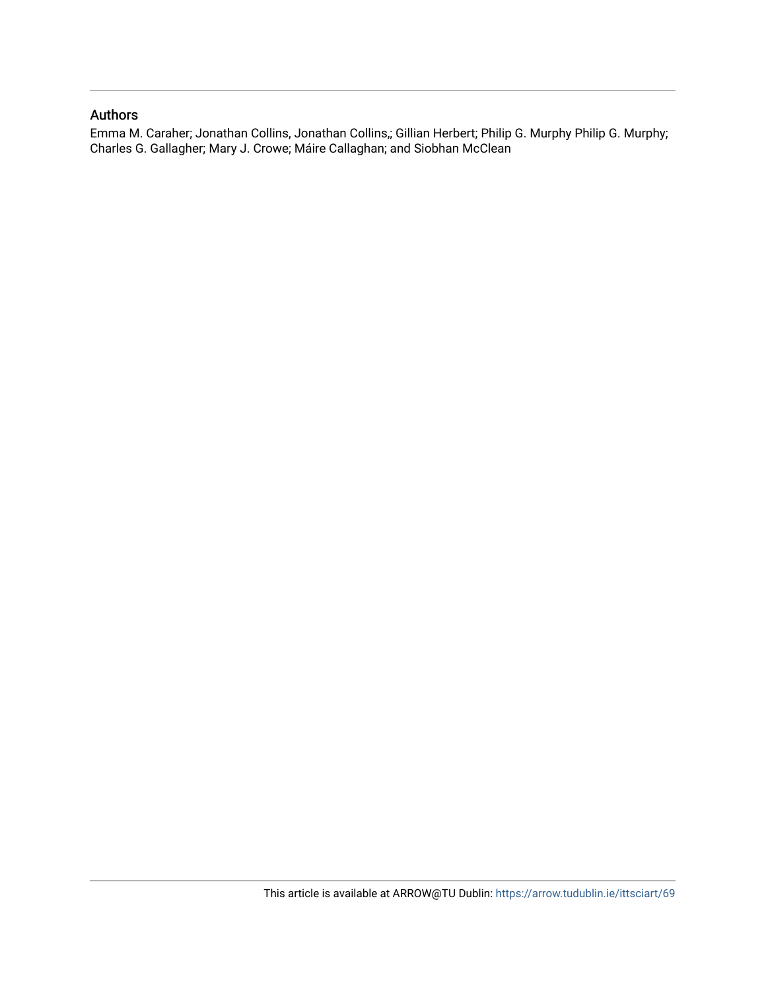### Authors

Emma M. Caraher; Jonathan Collins, Jonathan Collins,; Gillian Herbert; Philip G. Murphy Philip G. Murphy; Charles G. Gallagher; Mary J. Crowe; Máire Callaghan; and Siobhan McClean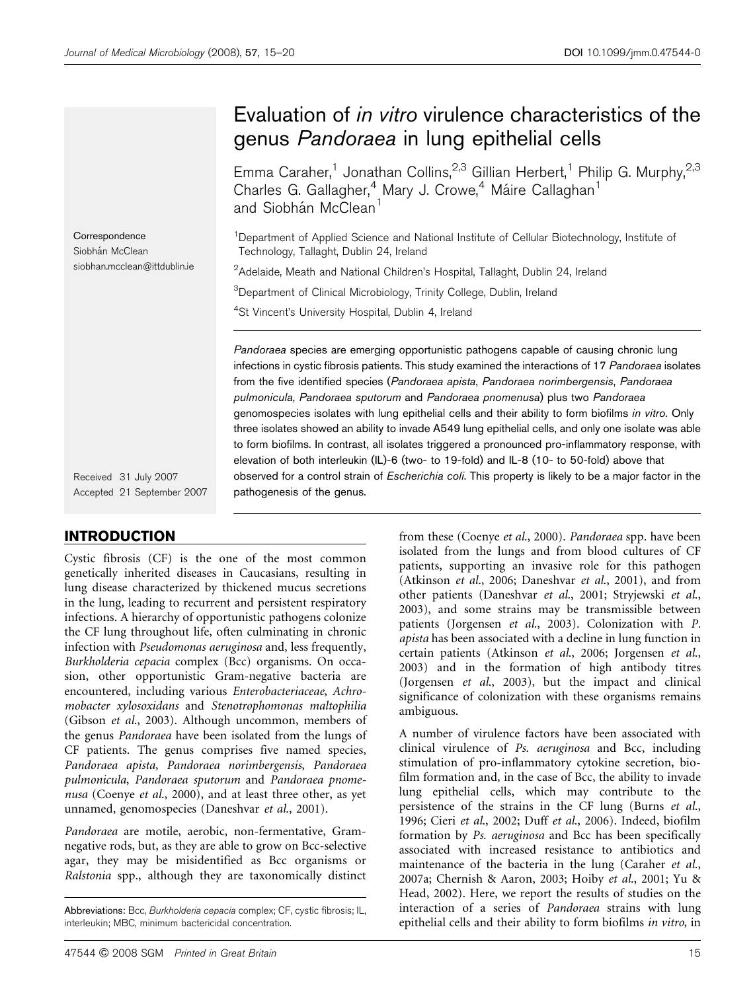# Evaluation of in vitro virulence characteristics of the genus Pandoraea in lung epithelial cells

Emma Caraher,<sup>1</sup> Jonathan Collins,<sup>2,3</sup> Gillian Herbert,<sup>1</sup> Philip G. Murphy,<sup>2,3</sup> Charles G. Gallagher,<sup>4</sup> Mary J. Crowe,<sup>4</sup> Máire Callaghan<sup>1</sup> and Siobhán McClean<sup>1</sup>

<sup>1</sup>Department of Applied Science and National Institute of Cellular Biotechnology, Institute of Technology, Tallaght, Dublin 24, Ireland

 $^2$ Adelaide, Meath and National Children's Hospital, Tallaght, Dublin 24, Ireland

<sup>3</sup>Department of Clinical Microbiology, Trinity College, Dublin, Ireland

<sup>4</sup>St Vincent's University Hospital, Dublin 4, Ireland

Pandoraea species are emerging opportunistic pathogens capable of causing chronic lung infections in cystic fibrosis patients. This study examined the interactions of 17 Pandoraea isolates from the five identified species (Pandoraea apista, Pandoraea norimbergensis, Pandoraea pulmonicula, Pandoraea sputorum and Pandoraea pnomenusa) plus two Pandoraea genomospecies isolates with lung epithelial cells and their ability to form biofilms in vitro. Only three isolates showed an ability to invade A549 lung epithelial cells, and only one isolate was able to form biofilms. In contrast, all isolates triggered a pronounced pro-inflammatory response, with elevation of both interleukin (IL)-6 (two- to 19-fold) and IL-8 (10- to 50-fold) above that observed for a control strain of Escherichia coli. This property is likely to be a major factor in the pathogenesis of the genus.

Received 31 July 2007 Accepted 21 September 2007

## INTRODUCTION

**Correspondence** Siobhán McClean

siobhan.mcclean@ittdublin.ie

Cystic fibrosis (CF) is the one of the most common genetically inherited diseases in Caucasians, resulting in lung disease characterized by thickened mucus secretions in the lung, leading to recurrent and persistent respiratory infections. A hierarchy of opportunistic pathogens colonize the CF lung throughout life, often culminating in chronic infection with Pseudomonas aeruginosa and, less frequently, Burkholderia cepacia complex (Bcc) organisms. On occasion, other opportunistic Gram-negative bacteria are encountered, including various Enterobacteriaceae, Achromobacter xylosoxidans and Stenotrophomonas maltophilia (Gibson et al., 2003). Although uncommon, members of the genus Pandoraea have been isolated from the lungs of CF patients. The genus comprises five named species, Pandoraea apista, Pandoraea norimbergensis, Pandoraea pulmonicula, Pandoraea sputorum and Pandoraea pnomenusa (Coenye et al., 2000), and at least three other, as yet unnamed, genomospecies (Daneshvar et al., 2001).

Pandoraea are motile, aerobic, non-fermentative, Gramnegative rods, but, as they are able to grow on Bcc-selective agar, they may be misidentified as Bcc organisms or Ralstonia spp., although they are taxonomically distinct

from these (Coenye et al., 2000). Pandoraea spp. have been isolated from the lungs and from blood cultures of CF patients, supporting an invasive role for this pathogen (Atkinson et al., 2006; Daneshvar et al., 2001), and from other patients (Daneshvar et al., 2001; Stryjewski et al., 2003), and some strains may be transmissible between patients (Jorgensen et al., 2003). Colonization with P. apista has been associated with a decline in lung function in certain patients (Atkinson et al., 2006; Jorgensen et al., 2003) and in the formation of high antibody titres (Jorgensen et al., 2003), but the impact and clinical significance of colonization with these organisms remains ambiguous.

A number of virulence factors have been associated with clinical virulence of Ps. aeruginosa and Bcc, including stimulation of pro-inflammatory cytokine secretion, biofilm formation and, in the case of Bcc, the ability to invade lung epithelial cells, which may contribute to the persistence of the strains in the CF lung (Burns et al., 1996; Cieri et al., 2002; Duff et al., 2006). Indeed, biofilm formation by Ps. aeruginosa and Bcc has been specifically associated with increased resistance to antibiotics and maintenance of the bacteria in the lung (Caraher et al., 2007a; Chernish & Aaron, 2003; Hoiby et al., 2001; Yu & Head, 2002). Here, we report the results of studies on the interaction of a series of Pandoraea strains with lung epithelial cells and their ability to form biofilms in vitro, in

Abbreviations: Bcc, Burkholderia cepacia complex; CF, cystic fibrosis; IL, interleukin; MBC, minimum bactericidal concentration.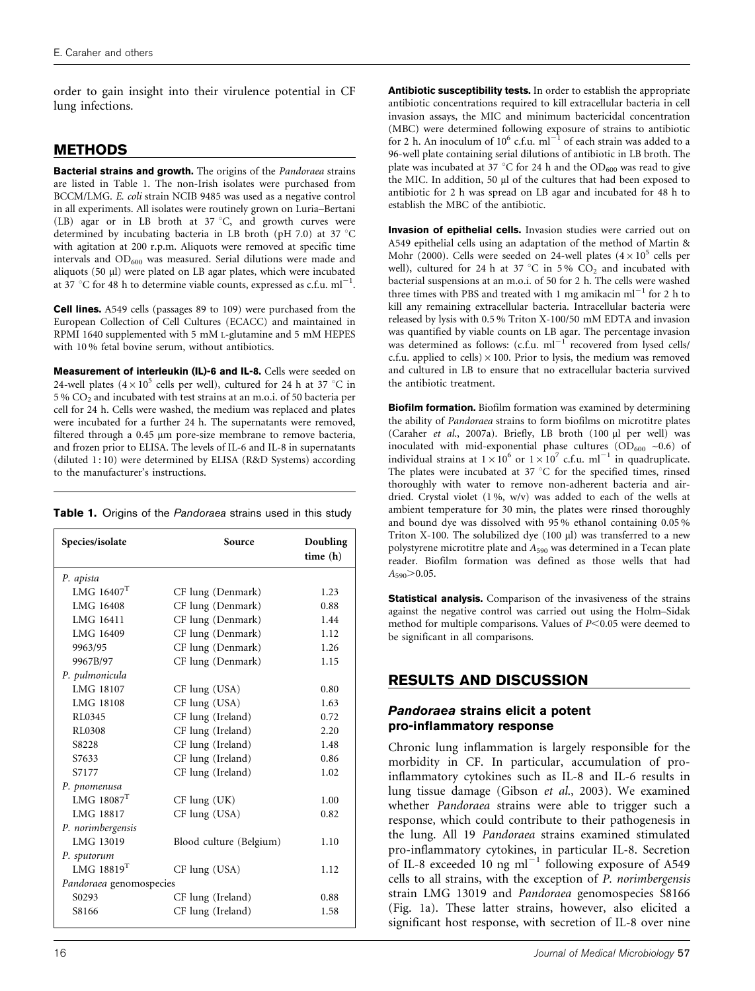order to gain insight into their virulence potential in CF lung infections.

# METHODS

Bacterial strains and growth. The origins of the Pandoraea strains are listed in Table 1. The non-Irish isolates were purchased from BCCM/LMG. E. coli strain NCIB 9485 was used as a negative control in all experiments. All isolates were routinely grown on Luria–Bertani (LB) agar or in LB broth at  $37^{\circ}$ C, and growth curves were determined by incubating bacteria in LB broth (pH 7.0) at 37  $^{\circ}$ C with agitation at 200 r.p.m. Aliquots were removed at specific time intervals and OD<sub>600</sub> was measured. Serial dilutions were made and aliquots (50 µl) were plated on LB agar plates, which were incubated at 37 °C for 48 h to determine viable counts, expressed as c.f.u. ml<sup>-1</sup>.

Cell lines. A549 cells (passages 89 to 109) were purchased from the European Collection of Cell Cultures (ECACC) and maintained in RPMI 1640 supplemented with 5 mM L-glutamine and 5 mM HEPES with 10 % fetal bovine serum, without antibiotics.

Measurement of interleukin (IL)-6 and IL-8. Cells were seeded on 24-well plates  $(4\times10^5$  cells per well), cultured for 24 h at 37 °C in 5 % CO2 and incubated with test strains at an m.o.i. of 50 bacteria per cell for 24 h. Cells were washed, the medium was replaced and plates were incubated for a further 24 h. The supernatants were removed, filtered through a 0.45 µm pore-size membrane to remove bacteria, and frozen prior to ELISA. The levels of IL-6 and IL-8 in supernatants (diluted 1:10) were determined by ELISA (R&D Systems) according to the manufacturer's instructions.

|  |  |  | Table 1. Origins of the Pandoraea strains used in this study |  |  |  |  |  |  |
|--|--|--|--------------------------------------------------------------|--|--|--|--|--|--|
|--|--|--|--------------------------------------------------------------|--|--|--|--|--|--|

| Species/isolate          | Source                  | Doubling<br>time (h) |  |  |  |  |  |
|--------------------------|-------------------------|----------------------|--|--|--|--|--|
| P. apista                |                         |                      |  |  |  |  |  |
| LMG $16407$ <sup>T</sup> | CF lung (Denmark)       | 1.23                 |  |  |  |  |  |
| LMG 16408                | CF lung (Denmark)       | 0.88                 |  |  |  |  |  |
| LMG 16411                | CF lung (Denmark)       | 1.44                 |  |  |  |  |  |
| LMG 16409                | CF lung (Denmark)       | 1.12                 |  |  |  |  |  |
| 9963/95                  | CF lung (Denmark)       | 1.26                 |  |  |  |  |  |
| 9967B/97                 | CF lung (Denmark)       | 1.15                 |  |  |  |  |  |
| P. pulmonicula           |                         |                      |  |  |  |  |  |
| <b>LMG 18107</b>         | $CF$ lung $(USA)$       | 0.80                 |  |  |  |  |  |
| LMG 18108                | CF lung (USA)           | 1.63                 |  |  |  |  |  |
| RL0345                   | CF lung (Ireland)       | 0.72                 |  |  |  |  |  |
| RL0308                   | CF lung (Ireland)       | 2.20                 |  |  |  |  |  |
| S8228                    | CF lung (Ireland)       | 1.48                 |  |  |  |  |  |
| S7633                    | CF lung (Ireland)       | 0.86                 |  |  |  |  |  |
| S7177                    | CF lung (Ireland)       | 1.02                 |  |  |  |  |  |
| P. pnomenusa             |                         |                      |  |  |  |  |  |
| $LMG$ 18087 <sup>T</sup> | $CF$ lung $(UK)$        | 1.00                 |  |  |  |  |  |
| LMG 18817                | CF lung (USA)           | 0.82                 |  |  |  |  |  |
| P. norimbergensis        |                         |                      |  |  |  |  |  |
| LMG 13019                | Blood culture (Belgium) | 1.10                 |  |  |  |  |  |
| P. sputorum              |                         |                      |  |  |  |  |  |
| LMG $18819$ <sup>T</sup> | CF lung (USA)           | 1.12                 |  |  |  |  |  |
| Pandoraea genomospecies  |                         |                      |  |  |  |  |  |
| S0293                    | CF lung (Ireland)       | 0.88                 |  |  |  |  |  |
| S8166                    | CF lung (Ireland)       | 1.58                 |  |  |  |  |  |
|                          |                         |                      |  |  |  |  |  |

Antibiotic susceptibility tests. In order to establish the appropriate antibiotic concentrations required to kill extracellular bacteria in cell invasion assays, the MIC and minimum bactericidal concentration (MBC) were determined following exposure of strains to antibiotic for 2 h. An inoculum of  $10^6$  c.f.u.  $ml^{-1}$  of each strain was added to a 96-well plate containing serial dilutions of antibiotic in LB broth. The plate was incubated at 37 °C for 24 h and the  $OD_{600}$  was read to give the MIC. In addition, 50 µl of the cultures that had been exposed to antibiotic for 2 h was spread on LB agar and incubated for 48 h to establish the MBC of the antibiotic.

Invasion of epithelial cells. Invasion studies were carried out on A549 epithelial cells using an adaptation of the method of Martin & Mohr (2000). Cells were seeded on 24-well plates  $(4 \times 10^5 \text{ cells per}$ well), cultured for 24 h at 37 °C in 5%  $CO<sub>2</sub>$  and incubated with bacterial suspensions at an m.o.i. of 50 for 2 h. The cells were washed three times with PBS and treated with 1 mg amikacin  $ml^{-1}$  for 2 h to kill any remaining extracellular bacteria. Intracellular bacteria were released by lysis with 0.5 % Triton X-100/50 mM EDTA and invasion was quantified by viable counts on LB agar. The percentage invasion was determined as follows:  $(c.f.u. ml^{-1})$  recovered from lysed cells/ c.f.u. applied to cells)  $\times$  100. Prior to lysis, the medium was removed and cultured in LB to ensure that no extracellular bacteria survived the antibiotic treatment.

Biofilm formation. Biofilm formation was examined by determining the ability of Pandoraea strains to form biofilms on microtitre plates (Caraher et al., 2007a). Briefly, LB broth (100 µl per well) was inoculated with mid-exponential phase cultures  $(OD_{600} \sim 0.6)$  of individual strains at  $1 \times 10^6$  or  $1 \times 10^7$  c.f.u. ml<sup>-1</sup> in quadruplicate. The plates were incubated at 37  $\degree$ C for the specified times, rinsed thoroughly with water to remove non-adherent bacteria and airdried. Crystal violet (1%, w/v) was added to each of the wells at ambient temperature for 30 min, the plates were rinsed thoroughly and bound dye was dissolved with 95 % ethanol containing 0.05 % Triton X-100. The solubilized dye (100 µl) was transferred to a new polystyrene microtitre plate and  $A_{590}$  was determined in a Tecan plate reader. Biofilm formation was defined as those wells that had  $A_{590}$  > 0.05.

**Statistical analysis.** Comparison of the invasiveness of the strains against the negative control was carried out using the Holm–Sidak method for multiple comparisons. Values of  $P<0.05$  were deemed to be significant in all comparisons.

# RESULTS AND DISCUSSION

#### Pandoraea strains elicit a potent pro-inflammatory response

Chronic lung inflammation is largely responsible for the morbidity in CF. In particular, accumulation of proinflammatory cytokines such as IL-8 and IL-6 results in lung tissue damage (Gibson et al., 2003). We examined whether Pandoraea strains were able to trigger such a response, which could contribute to their pathogenesis in the lung. All 19 Pandoraea strains examined stimulated pro-inflammatory cytokines, in particular IL-8. Secretion of IL-8 exceeded  $10$  ng ml<sup>-1</sup> following exposure of A549 cells to all strains, with the exception of P. norimbergensis strain LMG 13019 and Pandoraea genomospecies S8166 (Fig. 1a). These latter strains, however, also elicited a significant host response, with secretion of IL-8 over nine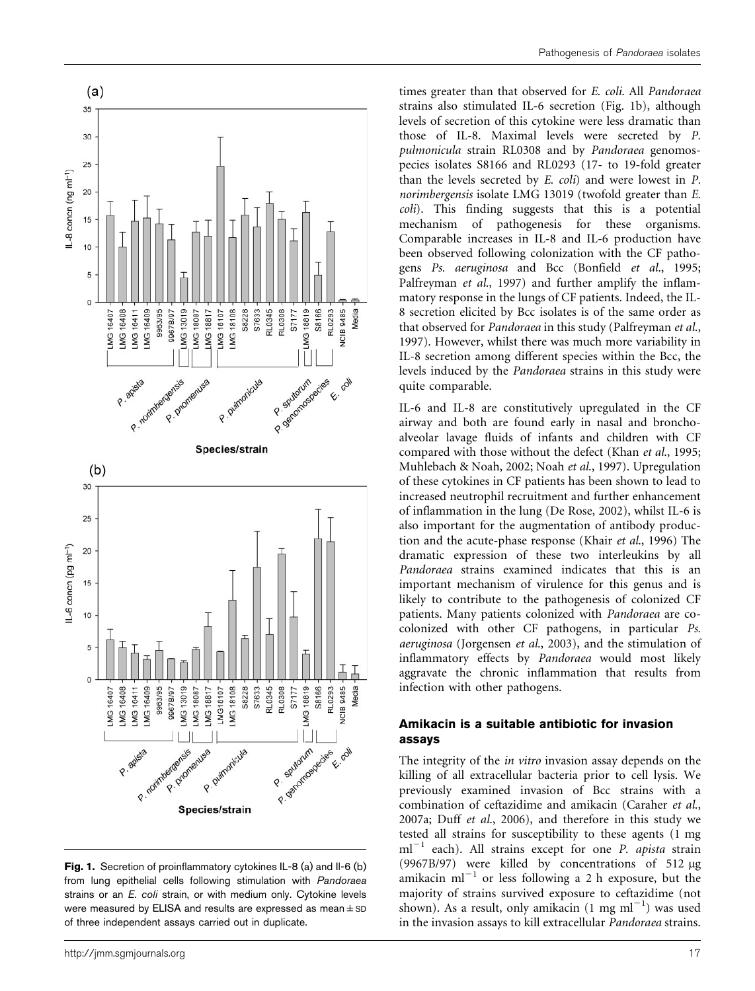

Fig. 1. Secretion of proinflammatory cytokines IL-8 (a) and Il-6 (b) from lung epithelial cells following stimulation with Pandoraea strains or an E. coli strain, or with medium only. Cytokine levels were measured by ELISA and results are expressed as mean  $\pm$  SD of three independent assays carried out in duplicate.

times greater than that observed for E. coli. All Pandoraea strains also stimulated IL-6 secretion (Fig. 1b), although levels of secretion of this cytokine were less dramatic than those of IL-8. Maximal levels were secreted by P. pulmonicula strain RL0308 and by Pandoraea genomospecies isolates S8166 and RL0293 (17- to 19-fold greater than the levels secreted by E. coli) and were lowest in P. norimbergensis isolate LMG 13019 (twofold greater than E. coli). This finding suggests that this is a potential mechanism of pathogenesis for these organisms. Comparable increases in IL-8 and IL-6 production have been observed following colonization with the CF pathogens Ps. aeruginosa and Bcc (Bonfield et al., 1995; Palfreyman *et al.*, 1997) and further amplify the inflammatory response in the lungs of CF patients. Indeed, the IL-8 secretion elicited by Bcc isolates is of the same order as that observed for Pandoraea in this study (Palfreyman et al., 1997). However, whilst there was much more variability in IL-8 secretion among different species within the Bcc, the levels induced by the Pandoraea strains in this study were quite comparable.

IL-6 and IL-8 are constitutively upregulated in the CF airway and both are found early in nasal and bronchoalveolar lavage fluids of infants and children with CF compared with those without the defect (Khan et al., 1995; Muhlebach & Noah, 2002; Noah et al., 1997). Upregulation of these cytokines in CF patients has been shown to lead to increased neutrophil recruitment and further enhancement of inflammation in the lung (De Rose, 2002), whilst IL-6 is also important for the augmentation of antibody production and the acute-phase response (Khair et al., 1996) The dramatic expression of these two interleukins by all Pandoraea strains examined indicates that this is an important mechanism of virulence for this genus and is likely to contribute to the pathogenesis of colonized CF patients. Many patients colonized with Pandoraea are cocolonized with other CF pathogens, in particular Ps. aeruginosa (Jorgensen et al., 2003), and the stimulation of inflammatory effects by Pandoraea would most likely aggravate the chronic inflammation that results from infection with other pathogens.

#### Amikacin is a suitable antibiotic for invasion assays

The integrity of the *in vitro* invasion assay depends on the killing of all extracellular bacteria prior to cell lysis. We previously examined invasion of Bcc strains with a combination of ceftazidime and amikacin (Caraher et al., 2007a; Duff et al., 2006), and therefore in this study we tested all strains for susceptibility to these agents (1 mg  $ml^{-1}$  each). All strains except for one *P. apista* strain (9967B/97) were killed by concentrations of 512  $\mu$ g amikacin ml<sup> $-1$ </sup> or less following a 2 h exposure, but the majority of strains survived exposure to ceftazidime (not shown). As a result, only amikacin  $(1 \text{ mg ml}^{-1})$  was used in the invasion assays to kill extracellular Pandoraea strains.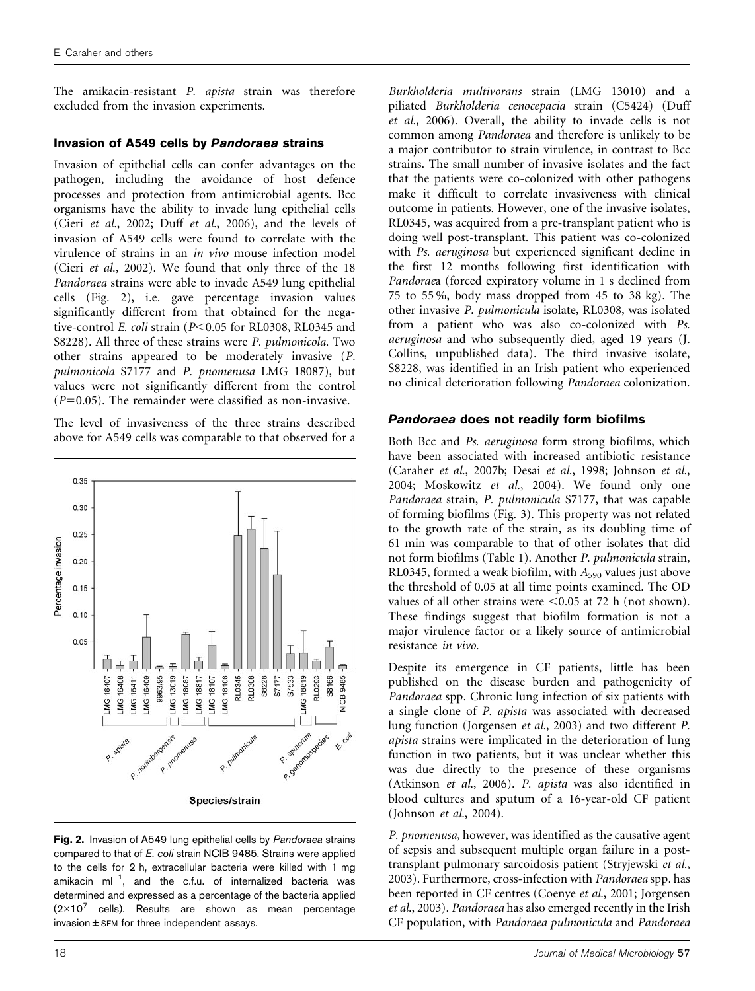The amikacin-resistant P. apista strain was therefore excluded from the invasion experiments.

#### Invasion of A549 cells by Pandoraea strains

Invasion of epithelial cells can confer advantages on the pathogen, including the avoidance of host defence processes and protection from antimicrobial agents. Bcc organisms have the ability to invade lung epithelial cells (Cieri et al., 2002; Duff et al., 2006), and the levels of invasion of A549 cells were found to correlate with the virulence of strains in an in vivo mouse infection model (Cieri et al., 2002). We found that only three of the 18 Pandoraea strains were able to invade A549 lung epithelial cells (Fig. 2), i.e. gave percentage invasion values significantly different from that obtained for the negative-control E. coli strain ( $P<0.05$  for RL0308, RL0345 and S8228). All three of these strains were P. pulmonicola. Two other strains appeared to be moderately invasive (P. pulmonicola S7177 and P. pnomenusa LMG 18087), but values were not significantly different from the control  $(P=0.05)$ . The remainder were classified as non-invasive.

The level of invasiveness of the three strains described above for A549 cells was comparable to that observed for a



Fig. 2. Invasion of A549 lung epithelial cells by Pandoraea strains compared to that of E. coli strain NCIB 9485. Strains were applied to the cells for 2 h, extracellular bacteria were killed with 1 mg amikacin  $ml^{-1}$ , and the c.f.u. of internalized bacteria was determined and expressed as a percentage of the bacteria applied  $(2\times10^7$  cells). Results are shown as mean percentage  $invasion \pm SEM$  for three independent assays.

Burkholderia multivorans strain (LMG 13010) and a piliated Burkholderia cenocepacia strain (C5424) (Duff et al., 2006). Overall, the ability to invade cells is not common among Pandoraea and therefore is unlikely to be a major contributor to strain virulence, in contrast to Bcc strains. The small number of invasive isolates and the fact that the patients were co-colonized with other pathogens make it difficult to correlate invasiveness with clinical outcome in patients. However, one of the invasive isolates, RL0345, was acquired from a pre-transplant patient who is doing well post-transplant. This patient was co-colonized with Ps. aeruginosa but experienced significant decline in the first 12 months following first identification with Pandoraea (forced expiratory volume in 1 s declined from 75 to 55 %, body mass dropped from 45 to 38 kg). The other invasive P. pulmonicula isolate, RL0308, was isolated from a patient who was also co-colonized with Ps. aeruginosa and who subsequently died, aged 19 years (J. Collins, unpublished data). The third invasive isolate, S8228, was identified in an Irish patient who experienced no clinical deterioration following Pandoraea colonization.

#### Pandoraea does not readily form biofilms

Both Bcc and Ps. aeruginosa form strong biofilms, which have been associated with increased antibiotic resistance (Caraher et al., 2007b; Desai et al., 1998; Johnson et al., 2004; Moskowitz et al., 2004). We found only one Pandoraea strain, P. pulmonicula S7177, that was capable of forming biofilms (Fig. 3). This property was not related to the growth rate of the strain, as its doubling time of 61 min was comparable to that of other isolates that did not form biofilms (Table 1). Another P. pulmonicula strain, RL0345, formed a weak biofilm, with  $A_{590}$  values just above the threshold of 0.05 at all time points examined. The OD values of all other strains were  $\leq 0.05$  at 72 h (not shown). These findings suggest that biofilm formation is not a major virulence factor or a likely source of antimicrobial resistance in vivo.

Despite its emergence in CF patients, little has been published on the disease burden and pathogenicity of Pandoraea spp. Chronic lung infection of six patients with a single clone of P. apista was associated with decreased lung function (Jorgensen et al., 2003) and two different P. apista strains were implicated in the deterioration of lung function in two patients, but it was unclear whether this was due directly to the presence of these organisms (Atkinson et al., 2006). P. apista was also identified in blood cultures and sputum of a 16-year-old CF patient (Johnson et al., 2004).

P. pnomenusa, however, was identified as the causative agent of sepsis and subsequent multiple organ failure in a posttransplant pulmonary sarcoidosis patient (Stryjewski et al., 2003). Furthermore, cross-infection with Pandoraea spp. has been reported in CF centres (Coenye et al., 2001; Jorgensen et al., 2003). Pandoraea has also emerged recently in the Irish CF population, with Pandoraea pulmonicula and Pandoraea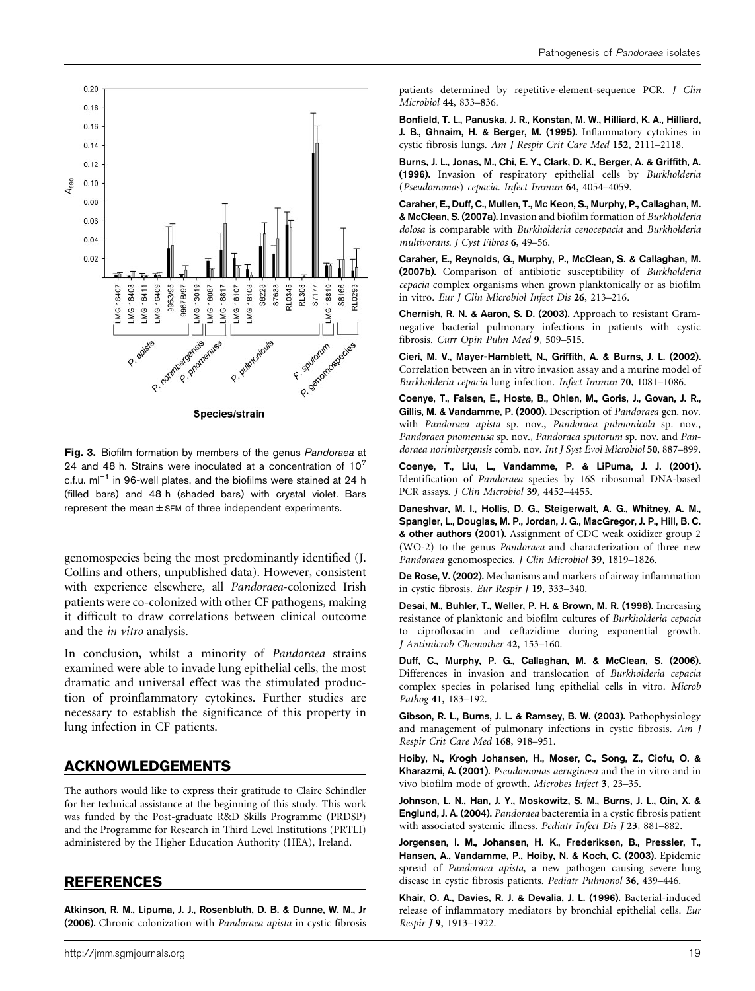

Fig. 3. Biofilm formation by members of the genus Pandoraea at 24 and 48 h. Strains were inoculated at a concentration of  $10^7$ c.f.u.  $ml^{-1}$  in 96-well plates, and the biofilms were stained at 24 h (filled bars) and 48 h (shaded bars) with crystal violet. Bars represent the mean $\pm$  SEM of three independent experiments.

genomospecies being the most predominantly identified (J. Collins and others, unpublished data). However, consistent with experience elsewhere, all Pandoraea-colonized Irish patients were co-colonized with other CF pathogens, making it difficult to draw correlations between clinical outcome and the in vitro analysis.

In conclusion, whilst a minority of Pandoraea strains examined were able to invade lung epithelial cells, the most dramatic and universal effect was the stimulated production of proinflammatory cytokines. Further studies are necessary to establish the significance of this property in lung infection in CF patients.

## ACKNOWLEDGEMENTS

The authors would like to express their gratitude to Claire Schindler for her technical assistance at the beginning of this study. This work was funded by the Post-graduate R&D Skills Programme (PRDSP) and the Programme for Research in Third Level Institutions (PRTLI) administered by the Higher Education Authority (HEA), Ireland.

#### REFERENCES

Atkinson, R. M., Lipuma, J. J., Rosenbluth, D. B. & Dunne, W. M., Jr (2006). Chronic colonization with Pandoraea apista in cystic fibrosis patients determined by repetitive-element-sequence PCR. J Clin Microbiol 44, 833–836.

Bonfield, T. L., Panuska, J. R., Konstan, M. W., Hilliard, K. A., Hilliard, J. B., Ghnaim, H. & Berger, M. (1995). Inflammatory cytokines in cystic fibrosis lungs. Am J Respir Crit Care Med 152, 2111–2118.

Burns, J. L., Jonas, M., Chi, E. Y., Clark, D. K., Berger, A. & Griffith, A. (1996). Invasion of respiratory epithelial cells by Burkholderia (Pseudomonas) cepacia. Infect Immun 64, 4054–4059.

Caraher, E., Duff, C., Mullen, T., Mc Keon, S., Murphy, P., Callaghan, M. & McClean, S. (2007a). Invasion and biofilm formation of Burkholderia dolosa is comparable with Burkholderia cenocepacia and Burkholderia multivorans. J Cyst Fibros 6, 49–56.

Caraher, E., Reynolds, G., Murphy, P., McClean, S. & Callaghan, M. (2007b). Comparison of antibiotic susceptibility of Burkholderia cepacia complex organisms when grown planktonically or as biofilm in vitro. Eur J Clin Microbiol Infect Dis 26, 213–216.

Chernish, R. N. & Aaron, S. D. (2003). Approach to resistant Gramnegative bacterial pulmonary infections in patients with cystic fibrosis. Curr Opin Pulm Med 9, 509–515.

Cieri, M. V., Mayer-Hamblett, N., Griffith, A. & Burns, J. L. (2002). Correlation between an in vitro invasion assay and a murine model of Burkholderia cepacia lung infection. Infect Immun 70, 1081–1086.

Coenye, T., Falsen, E., Hoste, B., Ohlen, M., Goris, J., Govan, J. R., Gillis, M. & Vandamme, P. (2000). Description of Pandoraea gen. nov. with Pandoraea apista sp. nov., Pandoraea pulmonicola sp. nov., Pandoraea pnomenusa sp. nov., Pandoraea sputorum sp. nov. and Pandoraea norimbergensis comb. nov. Int J Syst Evol Microbiol 50, 887–899.

Coenye, T., Liu, L., Vandamme, P. & LiPuma, J. J. (2001). Identification of Pandoraea species by 16S ribosomal DNA-based PCR assays. J Clin Microbiol 39, 4452-4455.

Daneshvar, M. I., Hollis, D. G., Steigerwalt, A. G., Whitney, A. M., Spangler, L., Douglas, M. P., Jordan, J. G., MacGregor, J. P., Hill, B. C. & other authors (2001). Assignment of CDC weak oxidizer group 2 (WO-2) to the genus Pandoraea and characterization of three new Pandoraea genomospecies. J Clin Microbiol 39, 1819–1826.

De Rose, V. (2002). Mechanisms and markers of airway inflammation in cystic fibrosis. Eur Respir J 19, 333–340.

Desai, M., Buhler, T., Weller, P. H. & Brown, M. R. (1998). Increasing resistance of planktonic and biofilm cultures of Burkholderia cepacia to ciprofloxacin and ceftazidime during exponential growth. J Antimicrob Chemother 42, 153–160.

Duff, C., Murphy, P. G., Callaghan, M. & McClean, S. (2006). Differences in invasion and translocation of Burkholderia cepacia complex species in polarised lung epithelial cells in vitro. Microb Pathog 41, 183–192.

Gibson, R. L., Burns, J. L. & Ramsey, B. W. (2003). Pathophysiology and management of pulmonary infections in cystic fibrosis. Am J Respir Crit Care Med 168, 918–951.

Hoiby, N., Krogh Johansen, H., Moser, C., Song, Z., Ciofu, O. & Kharazmi, A. (2001). Pseudomonas aeruginosa and the in vitro and in vivo biofilm mode of growth. Microbes Infect 3, 23–35.

Johnson, L. N., Han, J. Y., Moskowitz, S. M., Burns, J. L., Qin, X. & Englund, J. A. (2004). Pandoraea bacteremia in a cystic fibrosis patient with associated systemic illness. Pediatr Infect Dis J 23, 881–882.

Jorgensen, I. M., Johansen, H. K., Frederiksen, B., Pressler, T., Hansen, A., Vandamme, P., Hoiby, N. & Koch, C. (2003). Epidemic spread of Pandoraea apista, a new pathogen causing severe lung disease in cystic fibrosis patients. Pediatr Pulmonol 36, 439–446.

Khair, O. A., Davies, R. J. & Devalia, J. L. (1996). Bacterial-induced release of inflammatory mediators by bronchial epithelial cells. Eur Respir J 9, 1913–1922.